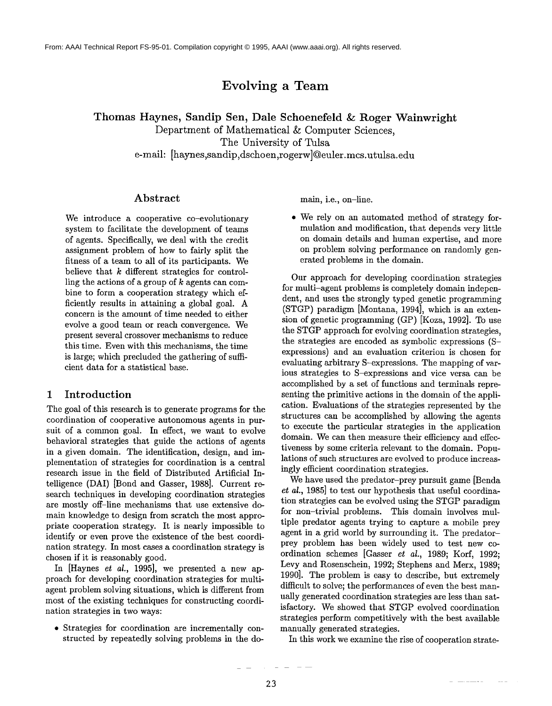# **Evolving a Team**

Thomas Haynes, Sandip Sen, Dale Schoenefeld &= Roger Wainwright

Department of Mathematical & Computer Sciences, The University of Tulsa

e-mail: [haynes,sandip,dschoen,rogerw]@euler.mcs.utulsa.edu

### **Abstract**

We introduce a cooperative co-evolutionary system to facilitate the development of teams of agents. Specifically, we deal with the credit assignment problem of how to fairly split the fitness of a team to all of its participants. We believe that  $k$  different strategies for controlling the actions of a group of  $k$  agents can combine to form a cooperation strategy which efficiently results in attaining a global goal. A concern is the amount of time needed to either evolve a good team or reach convergence. We present several crossover mechanisms to reduce this time. Even with this mechanisms, the time is large; which precluded the gathering of sufficient data for a statistical base.

# 1 Introduction

The goal of this research is to generate programs for the coordination of cooperative autonomous agents in pursuit of a common goal. In effect, we want to evolve behavioral strategies that guide the actions of agents in a given domain. The identification, design, and implementation of strategies for coordination is a central research issue in the field of Distributed Artificial Intelligence (DAI) [Bond and Gasser, 1988]. Current research techniques in developing coordination strategies are mostly off-line mechanisms that use extensive domain knowledge to design from scratch the most appropriate cooperation strategy. It is nearly impossible to identify or even prove the existence of the best coordination strategy. In most cases a coordination strategy is chosen if it is reasonably good.

In [Haynes *et al.,* 1995], we presented a new approach for developing coordination strategies for multiagent problem solving situations, which is different from most of the existing techniques for constructing coordination strategies in two ways:

• Strategies for coordination are incrementally constructed by repeatedly solving problems in the domain, i.e., on-line.

• We rely on an automated method of strategy formulation and modification, that depends very little on domain details and human expertise, and more on problem solving performance on randomly generated problems in the domain.

Our approach for developing coordination strategies for multi-agent problems is completely domain independent, and uses the strongly typed genetic programming (STGP) paradigm [Montana, 1994], which is an extension of genetic programming (GP) [Koza, 1992]. To use the STGP approach for evolving coordination strategies, the strategies are encoded as symbolic expressions (Sexpressions) and an evaluation criterion is chosen for evaluating arbitrary S-expressions. The mapping of various strategies to S-expressions and vice versa can be accomplished by a set of functions and terminals representing the primitive actions in the domain of the application. Evaluations of the strategies represented by the structures can be accomplished by allowing the agents to execute the particular strategies in the application domain. We can then measure their efficiency and effectiveness by some criteria relevant to the domain. Populations of such structures are evolved to produce increasingly efficient coordination strategies.

We have used the predator-prey pursuit game [Benda *et al.,* 1985] to test our hypothesis that useful coordination strategies can be evolved using the STGP paradigm for non-trivial problems. This domain involves multiple predator agents trying to capture a mobile prey agent in a grid world by surrounding it. The predatorprey problem has been widely used to test new coordination schemes [Gasser *et aI.,* 1989; Korf, 1992; Levy and Rosenschein, 1992; Stephens and Merx, 1989; 1990]. The problem is easy to describe, but extremely difficult to solve; the performances of even the best manually generated coordination strategies are less than satisfactory. We showed that STGP evolved coordination strategies perform competitively with the best available manually generated strategies.

In this work we examine the rise of cooperation strate-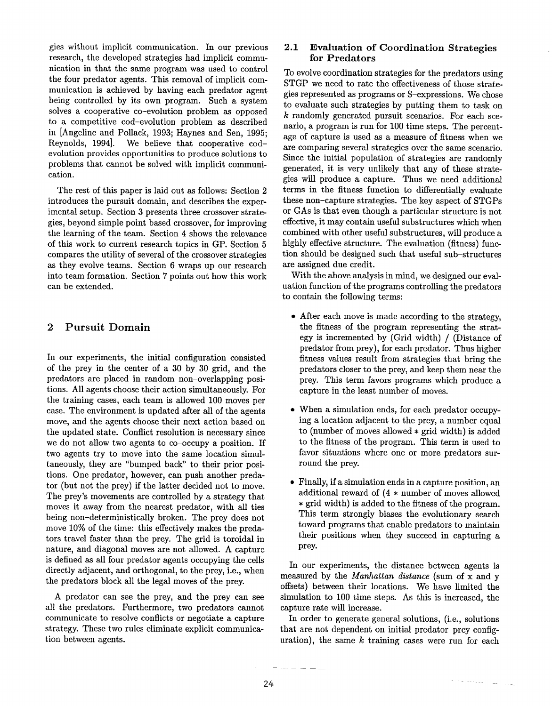gies without implicit communication. In our previous research, the developed strategies had implicit communieation in that the same program was used to control the four predator agents. This removal of implicit communication is achieved by having each predator agent being controlled by its own program. Such a system solves a cooperative co-evolution problem as opposed to a competitive cod-evolution problem as described in [Angeline and Pollack, 1993; Haynes and Sen, 1995; Reynolds, 1994]. We believe that cooperative codevolution provides opportunities to produce solutions to problems that cannot be solved with implicit communication.

The rest of this paper is laid out as follows: Section 2 introduces the pursuit domain, and describes the experimental setup. Section 3 presents three crossover strategies, beyond simple point based crossover, for improving the learning of the team. Section 4 shows the relevance of this work to current research topics in GP. Section 5 compares the utility of several of the crossover strategies as they evolve teams. Section 6 wraps up our research into team formation. Section 7 points out how this work can be extended.

# **2 Pursuit Domain**

In our experiments, the initial configuration consisted of the prey in the center of a 30 by 30 grid, and the predators are placed in random non-overlapping positions. All agents choose their action simultaneously. For the training cases, each team is allowed 100 moves per case. The environment is updated after all of the agents move, and the agents choose their next action based on the updated state. Conflict resolution is necessary since we do not allow two agents to co-occupy a position. If two agents try to move into the same location simultaneously, they are "bumped back" to their prior positions. One predator, however, can push another predator (but not the prey) if the latter decided not to move. The prey's movements are controlled by a strategy that moves it away from the nearest predator, with all ties being non-deterministically broken. The prey does not move 10% of the time: this effectively makes the predators travel faster than the prey. The grid is toroidal in nature, and diagonal moves are not allowed. A capture is defined as all four predator agents occupying the cells directly adjacent, and orthogonal, to the prey, i.e., when the predators block all the legal moves of the prey.

A predator can see the prey, and the prey can see all the predators. Furthermore, two predators cannot communicate to resolve conflicts or negotiate a capture strategy. These two rules eliminate explicit communication between agents.

# **2.1 Evaluation of Coordination Strategies** for **Predators**

To evolve coordination strategies for the predators using STGP we need to rate the effectiveness of those strategies represented as programs or S-expressions. We chose to evaluate such strategies by putting them to task on k randomly generated pursuit scenarios. For each scenario, a program is run for 100 time steps. The percentage of capture is used as a measure of fitness when we are comparing several strategies over the same scenario. Since the initial population of strategies are randomly generated, it is very unlikely that any of these strategies will produce a capture. Thus we need additional terms in the fitness function to differentially evaluate these non-capture strategies. The key aspect of STGPs or GAs is that even though a particular structure is not effective, it may contain useful substructures which when combined with other useful substructures, will produce a highly effective structure. The evaluation (fitness) function should be designed such that useful sub-structures are assigned due credit.

With the above analysis in mind, we designed our evaluation function of the programs controlling the predators to contain the following terms:

- After each move is made according to the strategy, the fitness of the program representing the strategy is incremented by (Grid width) / (Distance predator from prey), for each predator. Thus higher fitness values result from strategies that bring the predators closer to the prey, and keep them near the prey. This term favors programs which produce a capture in the least number of moves.
- When a simulation ends, for each predator occupying a location adjacent to the prey, a number equal to (number of moves allowed  $*$  grid width) is added to the fitness of the program. This term is used to favor situations where one or more predators surround the prey.
- Finally, if a simulation ends in a capture position, an additional reward of (4 \* number of moves allowed \* grid width) is added to the fitness of the program. This term strongly biases the evolutionary search toward programs that enable predators to maintain their positions when they succeed in capturing a prey.

In our experiments, the distance between agents is measured by the *Manhattan distance* (sum of x and offsets) between their locations. We have limited the simulation to 100 time steps. As this is increased, the capture rate will increase.

In order to generate general solutions, (i.e., solutions that are not dependent on initial predator-prey configuration), the same  $k$  training cases were run for each

 $\gamma$  - and  $\gamma$  and  $\gamma$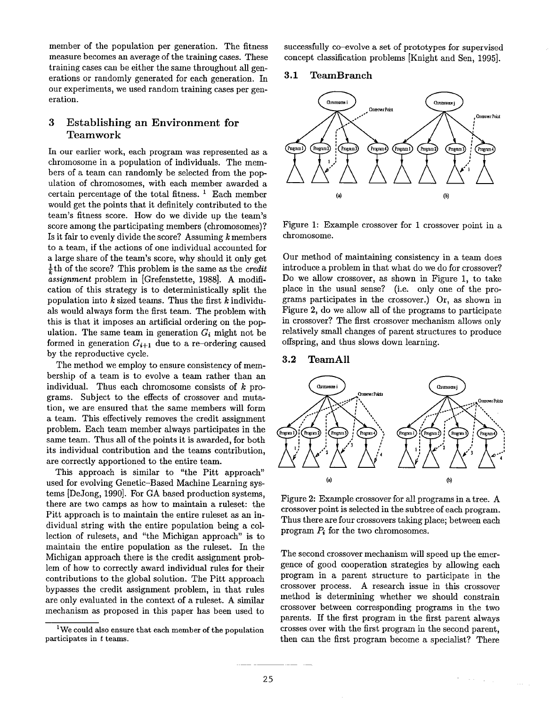member of the population per generation. The fitness measure becomes an average of the training cases. These training cases can be either the same throughout all generations or randomly generated for each generation. In our experiments, we used random training cases per generation.

# 3 Establishing an Environment for Teamwork

In our earlier work, each program was represented as a chromosome in a population of individuals. The members of a team can randomly be selected from the population of chromosomes, with each member awarded a certain percentage of the total fitness.  $<sup>1</sup>$  Each member</sup> would get the points that it definitely contributed to the team's fitness score. How do we divide up the team's score among the participating members (chromosomes)? Is it fair to evenly divide the score? Assuming  $k$  members to a team, if the actions of one individual accounted for a large share of the team's score, why should it only get  $\frac{1}{k}$ th of the score? This problem is the same as the *credit assignment* problem in [Grefenstette, 1988]. A modification of this strategy is to deterministically split the population into  $k$  sized teams. Thus the first  $k$  individuals would always form the first team. The problem with this is that it imposes an artificial ordering on the population. The same team in generation  $G_i$  might not be formed in generation  $G_{i+1}$  due to a re-ordering caused by the reproductive cycle.

The method we employ to ensure consistency of membership of a team is to evolve a team rather than an individual. Thus each chromosome consists of  $k$  programs. Subject to the effects of crossover and mutation, we are ensured that the same members will form a team. This effectively removes the credit assignment problem. Each team member always participates in the same team. Thus all of the points it is awarded, for both its individual contribution and the teams contribution, are correctly apportioned to the entire team.

This approach is similar to "the Pitt approach" used for evolving Genetic-Based Machine Learning systems [DeJong, 1990]. For GA based production systems, there are two camps as how to maintain a ruleset: the Pitt approach is to maintain the entire ruleset as an individual string with the entire population being a collection of rulesets, and "the Michigan approach" is to maintain the entire population as the ruleset. In the Michigan approach there is the credit assignment problem of how to correctly award individual rules for their contributions to the global solution. The Pitt approach bypasses the credit assignment problem, in that rules are only evaluated in the context of a ruleset. A similar mechanism as proposed in this paper has been used to

<sup>1</sup>We could also ensure that each member of the population participates in  $t$  teams.

successfully co-evolve a set of prototypes for supervised concept classification problems [Knight and Sen, 1995].

### 3.1 TeamBranch



Figure 1: Example crossover for 1 crossover point in a chromosome.

Our method of maintaining consistency in a team does introduce a problem in that what do we do for crossover? Do we allow crossover, as shown in Figure 1, to take place in the usual sense? (i.e. only one of the programs participates in the crossover.) Or, as shown in Figure 2, do we allow all of the programs to participate in crossover? The first crossover mechanism allows only relatively small changes of parent structures to produce offspring, and thus slows down learning.

#### 3.2 TeamAll



Figure 2: Example crossover for all programs in a tree. A crossover point is selected in the subtree of each program. Thus there are four crossovers taking place; between each program  $P_i$  for the two chromosomes.

The second crossover mechanism will speed up the emergence of good cooperation strategies by allowing each program in a parent structure to participate in the crossover process. A research issue in this crossover method is determining whether we should constrain crossover between corresponding programs in the two parents. If the first program in the first parent always crosses over with the first program in the second parent, then can the first program become a specialist? There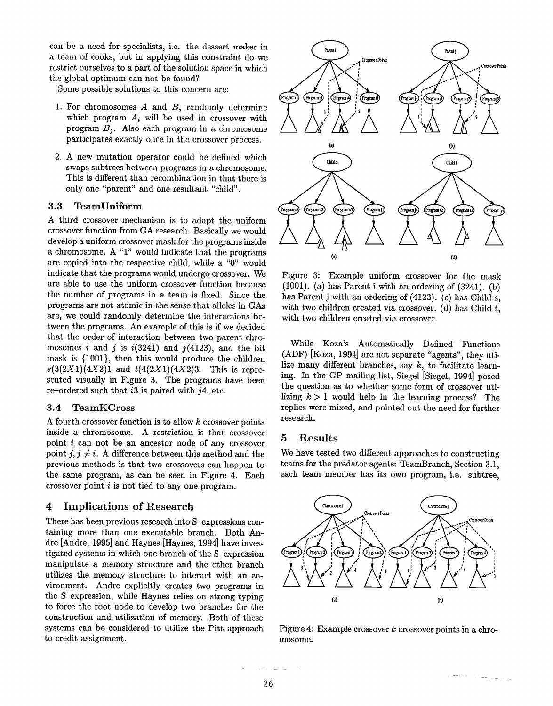can be a need for specialists, i.e. the dessert maker in a team of cooks, but in applying this constraint do we restrict ourselves to a part of the solution space in which the global optimum can not be found?

Some possible solutions to this concern are:

- 1. For chromosomes  $A$  and  $B$ , randomly determine which program  $A_i$  will be used in crossover with program  $B_j$ . Also each program in a chromosome participates exactly once in the crossover process.
- 2. A new mutation operator could be defined which swaps subtrees between programs in a chromosome. This is different than recombination in that there is only one "parent" and one resultant "child".

# 3.3 TeamUniform

A third crossover mechanism is to adapt the uniform crossover function from GA research. Basically we would develop a uniform crossover mask for the programs inside a chromosome. A " $1$ " would indicate that the programs are copied into the respective child, while a "0" would indicate that the programs would undergo crossover. We are able to use the uniform crossover function because the number of programs in a team is fixed. Since the programs are not atomic in the sense that alleles in GAs are, we could randomly determine the interactions between the programs. An example of this is if we decided that the order of interaction between two parent chromosomes i and j is  $i(3241)$  and  $j(4123)$ , and the bit mask is {1001}, then this would produce the children *s(3(2X1)(4X2)l* and *t(4(2X1)(4X2)3.* This is represented visually in Figure 3. The programs have been re-ordered such that  $i3$  is paired with  $j4$ , etc.

#### 3.4 TeamKCross

A fourth crossover function is to allow k crossover points inside a chromosome. A restriction is that crossover point i can not be an ancestor node of any crossover point  $j, j \neq i$ . A difference between this method and the previous methods is that two crossovers can happen to the same program, as can be seen in Figure 4. Each crossover point  $i$  is not tied to any one program.

## **4 Implications of Research**

There has been previous research into S-expressions containing more than one executable branch. Both Andre [Andre, 1995] and Haynes [Haynes, 1994] have investigated systems in which one branch of the S-expression manipulate a memory structure and the other branch utilizes the memory structure to interact with an environment. Andre explicitly creates two programs in the S-expression, while Haynes relies on strong typing to force the root node to develop two branches for the construction and utilization of memory. Both of these systems can be considered to utilize the Pitt approach to credit assignment.



Figure 3: Example uniform crossover for the mask  $(1001)$ . (a) has Parent i with an ordering of  $(3241)$ . (b) has Parent j with an ordering of (4123). (c) has Child s, with two children created via crossover. (d) has Child t, with two children created via crossover.

While Koza's Automatically Defined Functions (ADF) [Koza, 1994] are not separate "agents", they utilize many different branches, say  $k$ , to facilitate learning. In the GP mailing list, Siegel [Siegel, 1994] posed the question as to whether some form of crossover utilizing  $k > 1$  would help in the learning process? The replies were mixed, and pointed out the need for further research.

#### **5 Results**

We have tested two different approaches to constructing teams for the predator agents: TeamBraach, Section 3.1, each team member has its own program, i.e. subtree,



Figure 4: Example crossover  $k$  crossover points in a chromosome.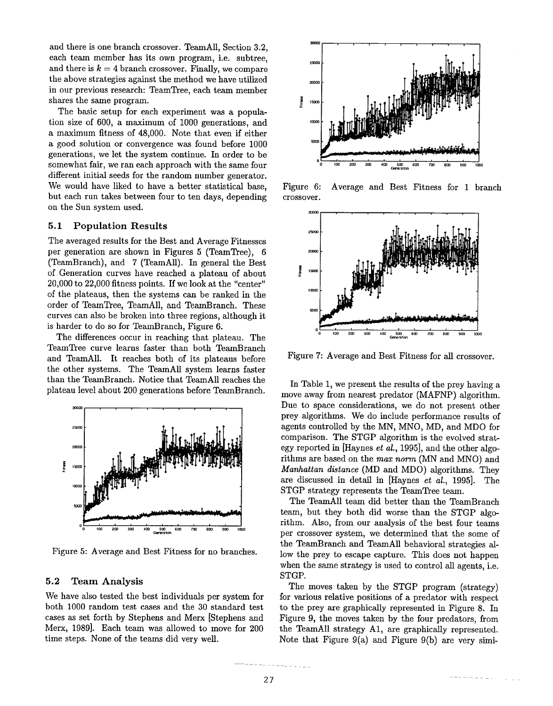and there is one branch crossover. TeamAll, Section 3.2, each team member has its own program, i.e. subtree, and there is  $k = 4$  branch crossover. Finally, we compare the above strategies against the method we have utilized in our previous research: TeamTree, each team member shares the same program.

The basic setup for each experiment was a population size of 600, a maximum of 1000 generations, and a maximum fitness of 48,000. Note that even if either a good solution or convergence was found before 1000 generations, we let the system continue. In order to be somewhat fair, we ran each approach with the same four different initial seeds for the random number generator. We would have liked to have a better statistical base, but each run takes between four to ten days, depending on the Sun system used.

#### **5.1 Population Results**

The averaged results for the Best and Average Fitnesses per generation are shown in Figures 5 (TeamTree), (TeamBranch), and 7 (TeamAll). In general the Best of Generation curves have reached a plateau of about 20,000 to 22,000 fitness points. If we look at the "center" of the plateaus, then the systems can be ranked in the order of TeamTree, TeamAll, and TeamBranch. These curves can also be broken into three regions, although it is harder to do so for TeamBranch, Figure 6.

The differences occur in reaching that plateau. The TeamTree curve learns faster than both TeamBranch and TeamAll. It reaches both of its plateaus before the other systems. The TeamAll system learns faster than the TeamBranch. Notice that TeamAll reaches the plateau level about 200 generations before TeamBranch.



Figure 5: Average and Best Fitness for no branches.

#### 5.2 Team Analysis

We have also tested the best individuals per system for both 1000 random test cases and the 30 standard test cases as set forth by Stephens and Merx [Stephens and Merx, 1989]. Each team was allowed to move for 200 time steps. None of the teams did very well.



Figure 6: Average and Best Fitness for 1 branch crossover.



Figure 7: Average and Best Fitness for all crossover.

In Table 1, we present the results of the prey having a move away from nearest predator (MAFNP) algorithm. Due to space considerations, we do not present other prey algorithms. We do include performance results of agents controlled by the MN, MNO, MD, and MDO for comparison. The STGP algorithm is the evolved strategy reported in [Haynes *et aL,* 1995], and the other algorithms are based on the *max norm* (MN and MNO) and *Manhattan distance* (MD and MDO) algorithms. They are discussed in detail in [Haynes *et al.,* 1995]. The STGP strategy represents the TeamTree team.

The TeamAll team did better than the TeamBranch team, but they both did worse than the STGP algorithm. Also, from our analysis of the best four teams per crossover system, we determined that the some of the TeamBranch and TeamAll behavioral strategies allow the prey to escape capture. This does not happen when the same strategy is used to control all agents, i.e. STGP.

The moves taken by the STGP program (strategy) for various relative positions of a predator with respect to the prey are graphically represented in Figure 8. In Figure 9, the moves taken by the four predators, from the TeamAll strategy A1, are graphically represented. Note that Figure  $9(a)$  and Figure  $9(b)$  are very simi-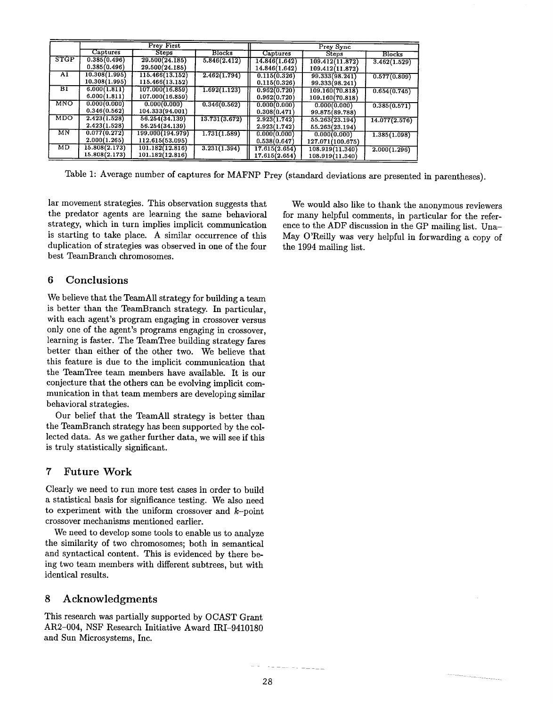|                        | <b>Prey First</b> |                  |               | Prey Sync     |                  |               |
|------------------------|-------------------|------------------|---------------|---------------|------------------|---------------|
|                        | Captures          | <b>Steps</b>     | <b>Blocks</b> | Captures      | <b>Steps</b>     | <b>Blocks</b> |
| <b>STGP</b>            | 0.385(0.496)      | 29.500(24.185)   | 5.846(2.412)  | 14.846(1.642) | 109.412(11.872)  | 3.462(1.529)  |
|                        | 0.385(0.496)      | 29.500(24.185)   |               | 14.846(1.642) | 109.412(11.872)  |               |
| A1                     | 10.308(1.995)     | 115.466(13.152)  | 2.462(1.794)  | 0.115(0.326)  | 99.333(98.241)   | 0.577(0.809)  |
|                        | 10.308(1.995)     | 115.466(13.152)  |               | 0.115(0.326)  | 99.333(98.241)   |               |
| $_{\rm B1}$            | 6.000(1.811)      | 107.000(16.859)  | 1.692(1.123)  | 0.962(0.720)  | 109.160(70.818)  | 0.654(0.745)  |
|                        | 6.000(1.811)      | 107.000(16.859)  |               | 0.962(0.720)  | 109.160(70.818)  |               |
| <b>MNO</b>             | 0.000(0.000)      | 0.000(0.000)     | 0.346(0.562)  | 0.000(0.000)  | 0.000(0.000)     | 0.385(0.571)  |
|                        | 0.346(0.562)      | 104.333(94.001)  |               | 0.308(0.471)  | 99.875(89.788)   |               |
| <b>MDO</b>             | 2.423(1.528)      | 56.254(34.139)   | 13.731(3.672) | 2.923(1.742)  | 55.263(23.194)   | 14.077(2.576) |
|                        | 2.423(1.528)      | 56.254(34.139)   |               | 2.923(1.742)  | 55.263(23.194)   |               |
| $\overline{\text{MN}}$ | 0.077(0.272)      | 199.000(194.979) | 1.731(1.589)  | 0.000(0.000)  | 0.000(0.000)     | 1.385(1.098)  |
|                        | 2.000(1.265)      | 112.615(53.095)  |               | 0.538(0.647)  | 127.071(100.675) |               |
| MD                     | 15.808(2.173)     | 101.182(12.816)  | 3.231(1.394)  | 17.615(2.654) | 108.919(11.340)  | 2.000(1.296)  |
|                        | 15.808(2.173)     | 101.182(12.816)  |               | 17.615(2.654) | 108.919(11.340)  |               |

Table 1: Average number of captures for MAFNP Prey (standard deviations are presented in parentheses).

lar movement strategies. This observation suggests that the predator agents are learning the same behavioral strategy, which in turn implies implicit communication is starting to take place. A similar occurrence of this duplication of strategies was observed in one of the four best TeamBranch chromosomes.

# **6 Conclusions**

We believe that the TeamAll strategy for building a team is better than the TeamBranch strategy. In particular, with each agent's program engaging in crossover versus only one of the agent's programs engaging in crossover, learning is faster. The TeamTree building strategy fares better than either of the other two. We believe that this feature is due to the implicit communication that the TeamTree team members have available. It is our conjecture that the others can be evolving implicit communication in that team members are developing similar behavioral strategies.

Our belief that the TeamAll strategy is better than the TeamBranch strategy has been supported by the collected data. As we gather further data, we will see if this is truly statistically significant.

# 7 Future Work

Clearly we need to run more test cases in order to build a statistical basis for significance testing. We also need to experiment with the uniform crossover and  $k$ -point crossover mechanisms mentioned earlier.

We need to develop some tools to enable us to analyze the similarity of two chromosomes; both in semantical and syntactical content. This is evidenced by there being two team members with different subtrees, but with identical results.

# **8** Acknowledgments

This research was partially supported by OCAST Grant AR2-004, NSF Research Initiative Award IRI-9410180 and Sun Microsystems, Inc.

We would also like to thank the anonymous reviewers for many helpful comments, in particular for the reference to the ADF discussion in the GP mailing list. Una-May O'Reilly was very helpful in forwarding a copy of the 1994 mailing list.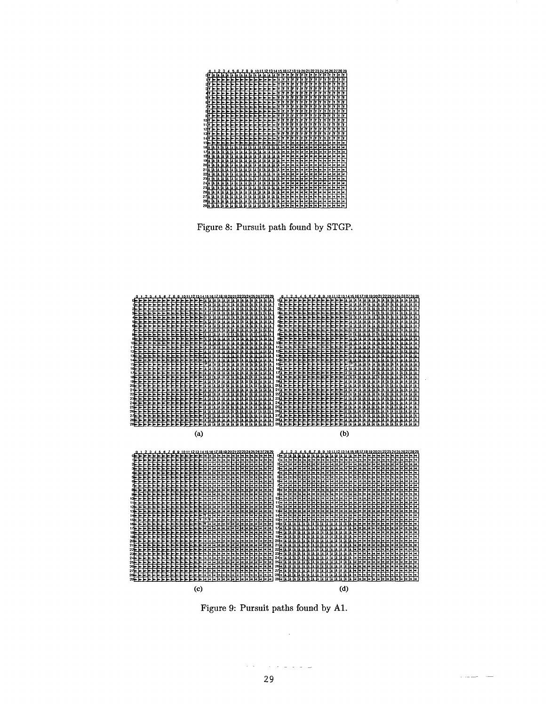

Figure 8: Pursuit path found by STGP.



Figure 9: Pursuit paths found by A1.

 $\ddot{\phantom{a}}$